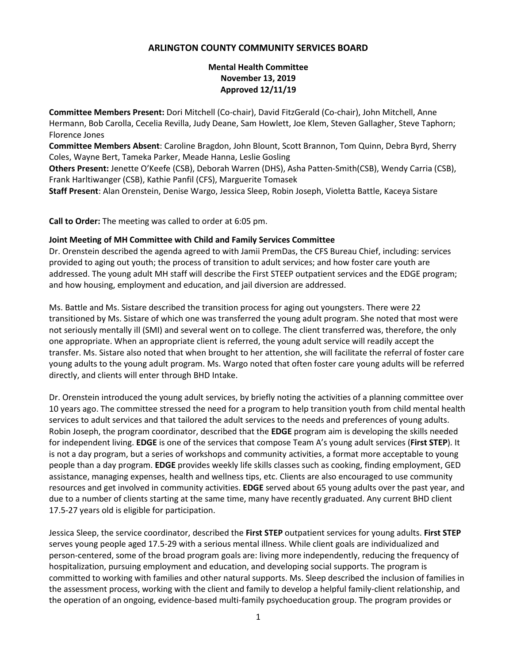# **ARLINGTON COUNTY COMMUNITY SERVICES BOARD**

# **Mental Health Committee November 13, 2019 Approved 12/11/19**

**Committee Members Present:** Dori Mitchell (Co-chair), David FitzGerald (Co-chair), John Mitchell, Anne Hermann, Bob Carolla, Cecelia Revilla, Judy Deane, Sam Howlett, Joe Klem, Steven Gallagher, Steve Taphorn; Florence Jones

**Committee Members Absent**: Caroline Bragdon, John Blount, Scott Brannon, Tom Quinn, Debra Byrd, Sherry Coles, Wayne Bert, Tameka Parker, Meade Hanna, Leslie Gosling

**Others Present:** Jenette O'Keefe (CSB), Deborah Warren (DHS), Asha Patten-Smith(CSB), Wendy Carria (CSB), Frank Harltiwanger (CSB), Kathie Panfil (CFS), Marguerite Tomasek

**Staff Present**: Alan Orenstein, Denise Wargo, Jessica Sleep, Robin Joseph, Violetta Battle, Kaceya Sistare

**Call to Order:** The meeting was called to order at 6:05 pm.

#### **Joint Meeting of MH Committee with Child and Family Services Committee**

Dr. Orenstein described the agenda agreed to with Jamii PremDas, the CFS Bureau Chief, including: services provided to aging out youth; the process of transition to adult services; and how foster care youth are addressed. The young adult MH staff will describe the First STEEP outpatient services and the EDGE program; and how housing, employment and education, and jail diversion are addressed.

Ms. Battle and Ms. Sistare described the transition process for aging out youngsters. There were 22 transitioned by Ms. Sistare of which one was transferred the young adult program. She noted that most were not seriously mentally ill (SMI) and several went on to college. The client transferred was, therefore, the only one appropriate. When an appropriate client is referred, the young adult service will readily accept the transfer. Ms. Sistare also noted that when brought to her attention, she will facilitate the referral of foster care young adults to the young adult program. Ms. Wargo noted that often foster care young adults will be referred directly, and clients will enter through BHD Intake.

Dr. Orenstein introduced the young adult services, by briefly noting the activities of a planning committee over 10 years ago. The committee stressed the need for a program to help transition youth from child mental health services to adult services and that tailored the adult services to the needs and preferences of young adults. Robin Joseph, the program coordinator, described that the **EDGE** program aim is developing the skills needed for independent living. **EDGE** is one of the services that compose Team A's young adult services (**First STEP**). It is not a day program, but a series of workshops and community activities, a format more acceptable to young people than a day program. **EDGE** provides weekly life skills classes such as cooking, finding employment, GED assistance, managing expenses, health and wellness tips, etc. Clients are also encouraged to use community resources and get involved in community activities. **EDGE** served about 65 young adults over the past year, and due to a number of clients starting at the same time, many have recently graduated. Any current BHD client 17.5-27 years old is eligible for participation.

Jessica Sleep, the service coordinator, described the **First STEP** outpatient services for young adults. **First STEP** serves young people aged 17.5-29 with a serious mental illness. While client goals are individualized and person-centered, some of the broad program goals are: living more independently, reducing the frequency of hospitalization, pursuing employment and education, and developing social supports. The program is committed to working with families and other natural supports. Ms. Sleep described the inclusion of families in the assessment process, working with the client and family to develop a helpful family-client relationship, and the operation of an ongoing, evidence-based multi-family psychoeducation group. The program provides or